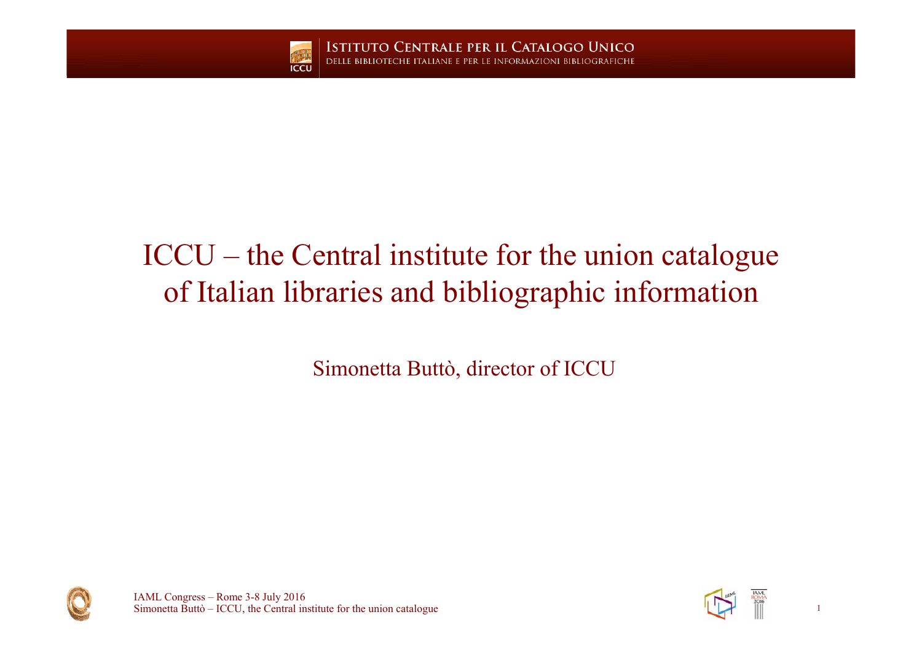

**ISTITUTO CENTRALE PER IL CATALOGO UNICO** ITALIANE E PER LE INFORMAZIONI BIBLIOGRAFICHE

## ICCU – the Central institute for the union catalogue of Italian libraries and bibliographic information

Simonetta Buttò, director of ICCU





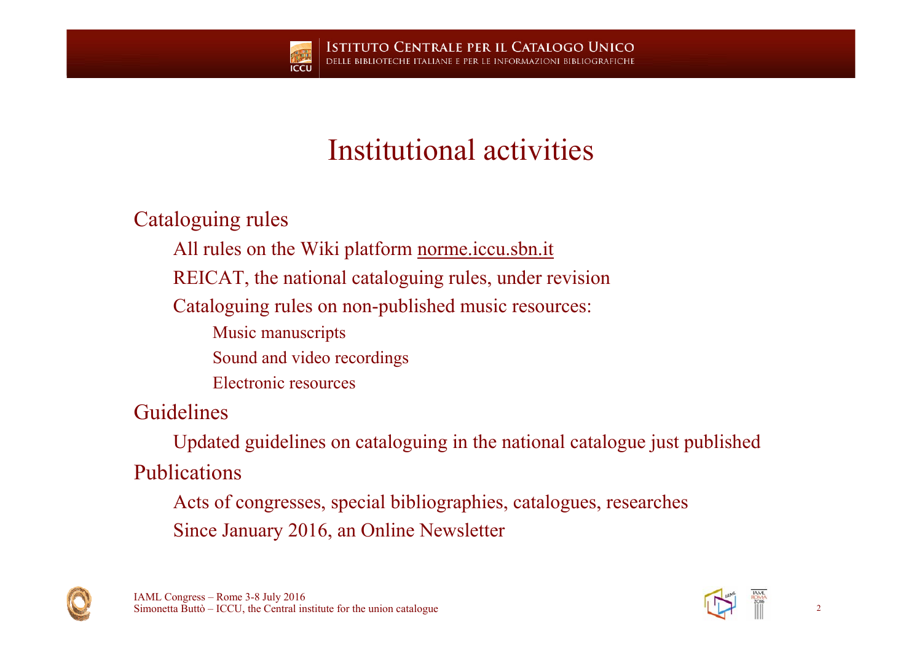## Institutional activities

Cataloguing rules

- All rules on the Wiki platform norme.iccu.sbn.it
- REICAT, the national cataloguing rules, under revision
- Cataloguing rules on non-published music resources:
	- Music manuscripts
	- Sound and video recordings
	- Electronic resources

Guidelines

Updated guidelines on cataloguing in the national catalogue just published Publications

Acts of congresses, special bibliographies, catalogues, researches Since January 2016, an Online Newsletter



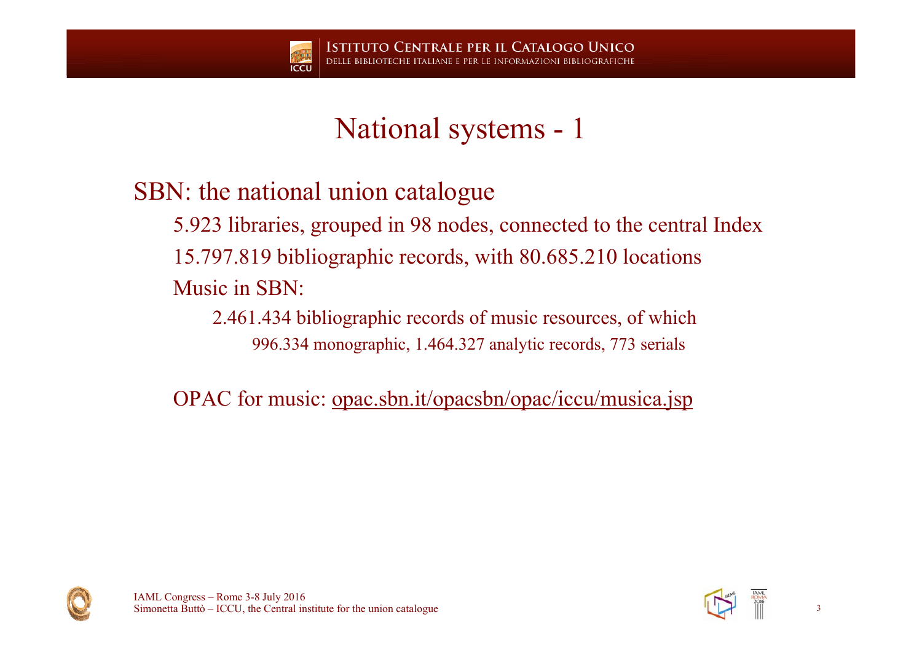### SBN: the national union catalogue

5.923 libraries, grouped in 98 nodes, connected to the central Index 15.797.819 bibliographic records, with 80.685.210 locations Music in SBN:

2.461.434 bibliographic records of music resources, of which 996.334 monographic, 1.464.327 analytic records, 773 serials

OPAC for music: <u>opac.sbn.it/opacsbn/opac/iccu/musica.jsp</u>



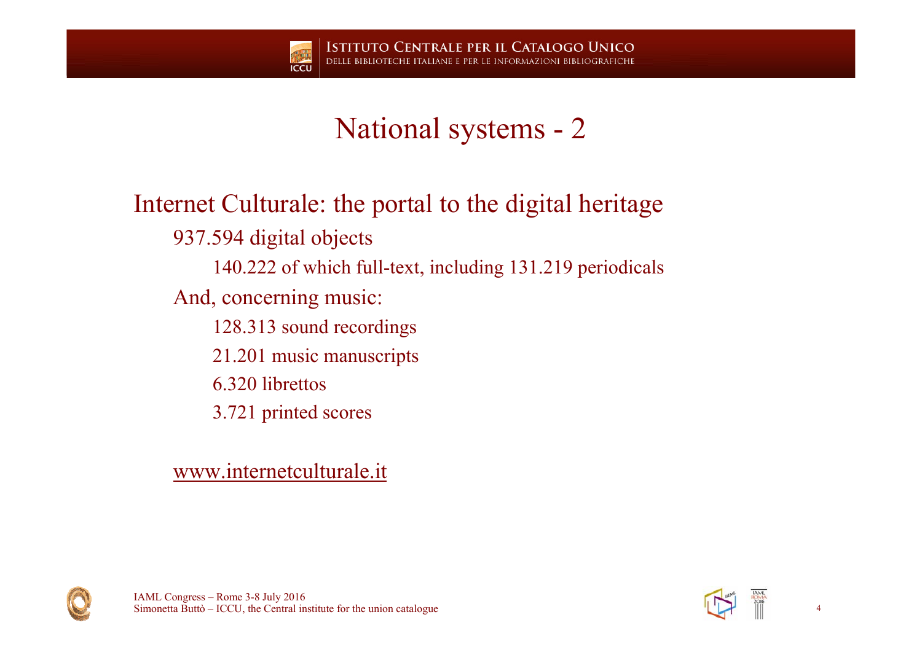

Internet Culturale: the portal to the digital heritage 937.594 digital objects 140.222 of which full-text, including 131.219 periodicals And, concerning music: 128.313 sound recordings 21.201 music manuscripts 6.320 librettos3.721 printed scores

www.internetculturale.it





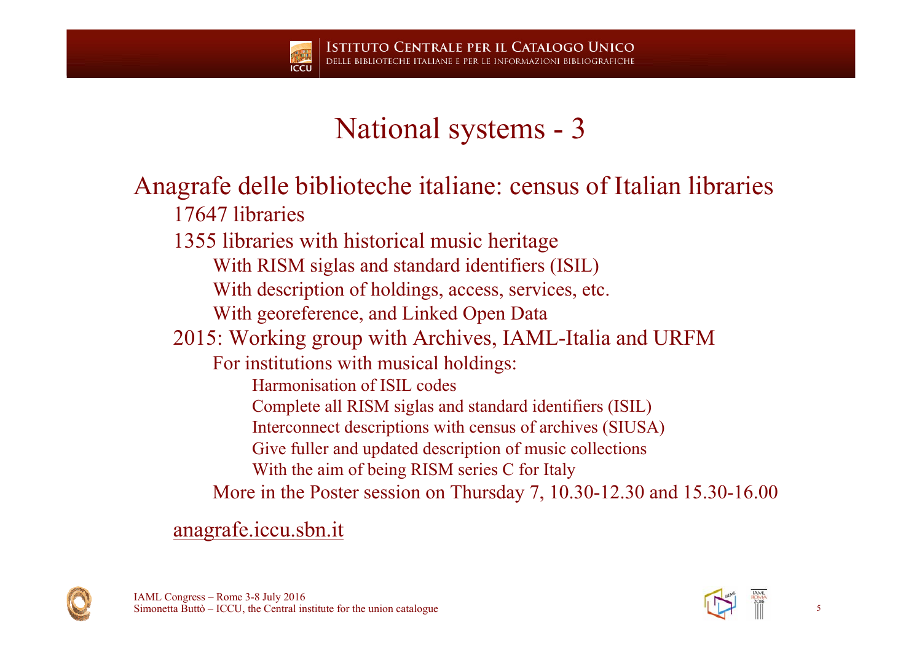

#### Anagrafe delle biblioteche italiane: census of Italian libraries 17647 libraries

1355 libraries with historical music heritage

With RISM siglas and standard identifiers (ISIL)

With description of holdings, access, services, etc.

With georeference, and Linked Open Data

2015: Working group with Archives, IAML-Italia and URFM

For institutions with musical holdings:

Harmonisation of ISIL codes

Complete all RISM siglas and standard identifiers (ISIL)

Interconnect descriptions with census of archives (SIUSA)

Give fuller and updated description of music collections

With the aim of being RISM series C for Italy

More in the Poster session on Thursday 7, 10.30-12.30 and 15.30-16.00

anagrafe.iccu.sbn.it



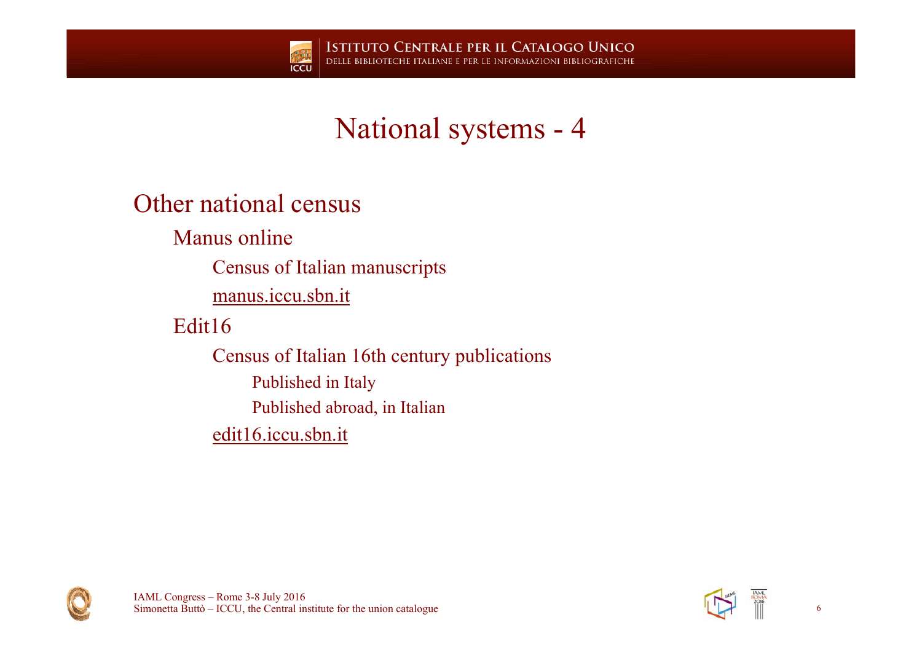

#### Other national census

Manus online

Census of Italian manuscripts

manus.iccu.sbn.it

Edit16

Census of Italian 16th century publications Published in Italy Published abroad, in Italian edit16.iccu.sbn.it



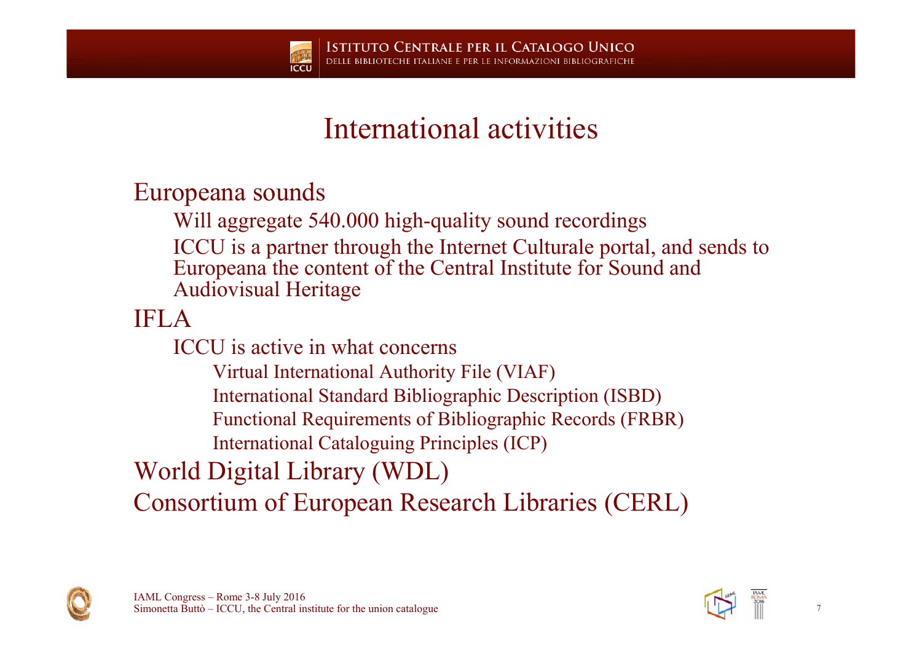## International activities

Europeana sounds

Will aggregate 540.000 high-quality sound recordings ICCU is a partner through the Internet Culturale portal, and sends to Europeana the content of the Central Institute for Sound and Audiovisual Heritage

IFLA

ICCU is active in what concerns

Virtual International Authority File (VIAF)

International Standard Bibliographic Description (ISBD)

Functional Requirements of Bibliographic Records (FRBR)

International Cataloguing Principles (ICP)

World Digital Library (WDL)

Consortium of European Research Libraries (CERL)



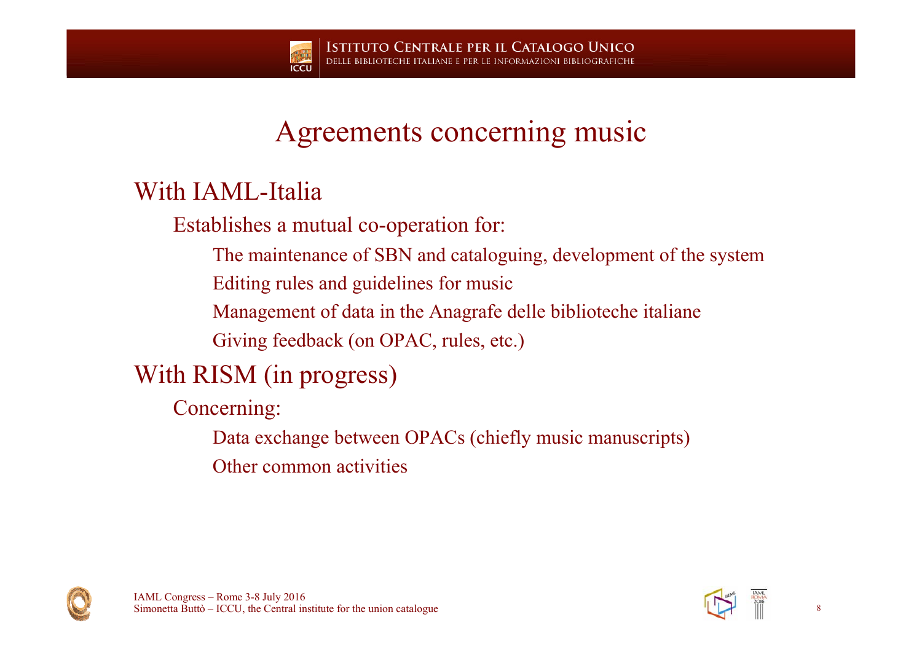### Agreements concerning music

#### With IAML-Italia

Establishes a mutual co-operation for:

The maintenance of SBN and cataloguing, development of the system

Editing rules and guidelines for music

Management of data in the Anagrafe delle biblioteche italiane

Giving feedback (on OPAC, rules, etc.)

### With RISM (in progress)

Concerning:

Data exchange between OPACs (chiefly music manuscripts)

Other common activities



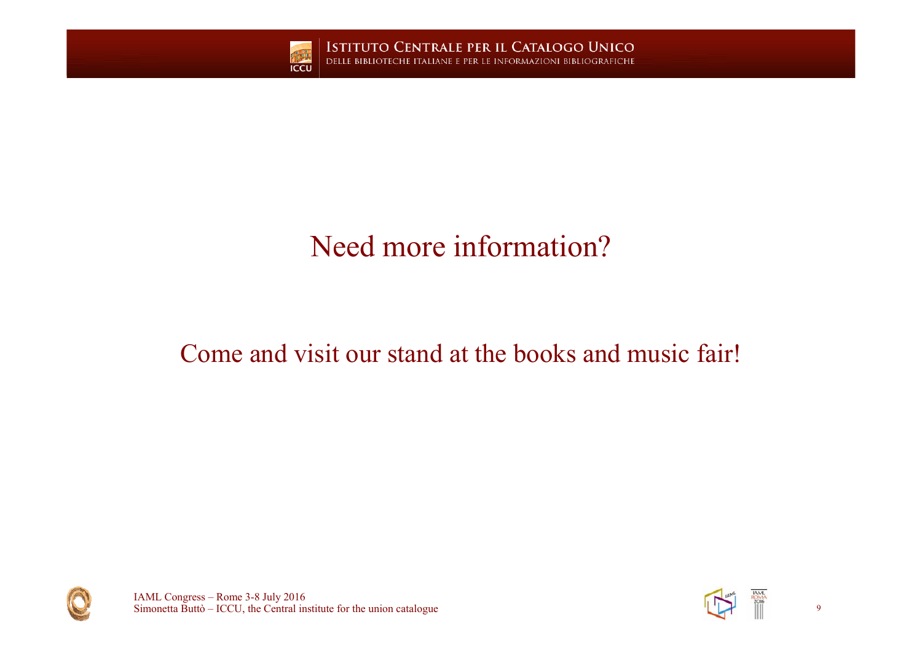

**ISTITUTO CENTRALE PER IL CATALOGO UNICO** DELLE BIBLIOTECHE ITALIANE E PER LE INFORMAZIONI BIBLIOGRAFICHE

# Need more information?

#### Come and visit our stand at the books and music fair!



IAML Congress – Rome 3-8 July 2016 Simonetta Buttò – ICCU, the Central institute for the union catalogue 9